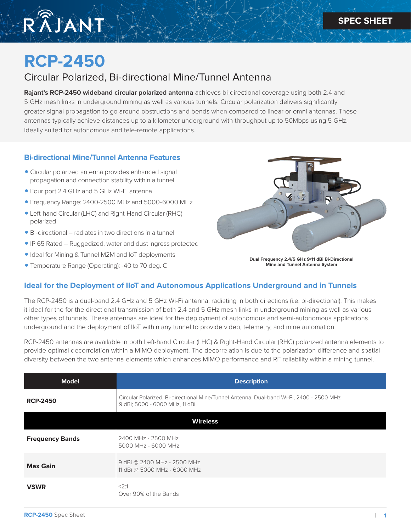

# **RCP-2450**

## Circular Polarized, Bi-directional Mine/Tunnel Antenna

**Rajant's RCP-2450 wideband circular polarized antenna** achieves bi-directional coverage using both 2.4 and 5 GHz mesh links in underground mining as well as various tunnels. Circular polarization delivers significantly greater signal propagation to go around obstructions and bends when compared to linear or omni antennas. These antennas typically achieve distances up to a kilometer underground with throughput up to 50Mbps using 5 GHz. Ideally suited for autonomous and tele-remote applications.

#### **Bi-directional Mine/Tunnel Antenna Features**

- Circular polarized antenna provides enhanced signal propagation and connection stability within a tunnel
- Four port 2.4 GHz and 5 GHz Wi-Fi antenna
- Frequency Range: 2400-2500 MHz and 5000-6000 MHz
- Left-hand Circular (LHC) and Right-Hand Circular (RHC) polarized
- Bi-directional radiates in two directions in a tunnel
- •IP 65 Rated Ruggedized, water and dust ingress protected
- Ideal for Mining & Tunnel M2M and IoT deployments
- Temperature Range (Operating): -40 to 70 deg. C



**Dual Frequency 2.4/5 GHz 9/11 dBi Bi-Directional Mine and Tunnel Antenna System**

#### **Ideal for the Deployment of IIoT and Autonomous Applications Underground and in Tunnels**

The RCP-2450 is a dual-band 2.4 GHz and 5 GHz Wi-Fi antenna, radiating in both directions (i.e. bi-directional). This makes it ideal for the for the directional transmission of both 2.4 and 5 GHz mesh links in underground mining as well as various other types of tunnels. These antennas are ideal for the deployment of autonomous and semi-autonomous applications underground and the deployment of IIoT within any tunnel to provide video, telemetry, and mine automation.

RCP-2450 antennas are available in both Left-hand Circular (LHC) & Right-Hand Circular (RHC) polarized antenna elements to provide optimal decorrelation within a MIMO deployment. The decorrelation is due to the polarization difference and spatial diversity between the two antenna elements which enhances MIMO performance and RF reliability within a mining tunnel.

| <b>Model</b>           | <b>Description</b>                                                                                                         |
|------------------------|----------------------------------------------------------------------------------------------------------------------------|
| <b>RCP-2450</b>        | Circular Polarized, Bi-directional Mine/Tunnel Antenna, Dual-band Wi-Fi, 2400 - 2500 MHz<br>9 dBi; 5000 - 6000 MHz, 11 dBi |
| <b>Wireless</b>        |                                                                                                                            |
| <b>Frequency Bands</b> | 2400 MHz - 2500 MHz<br>5000 MHz - 6000 MHz                                                                                 |
| <b>Max Gain</b>        | 9 dBi @ 2400 MHz - 2500 MHz<br>11 dBi @ 5000 MHz - 6000 MHz                                                                |
| <b>VSWR</b>            | <2:1<br>Over 90% of the Bands                                                                                              |